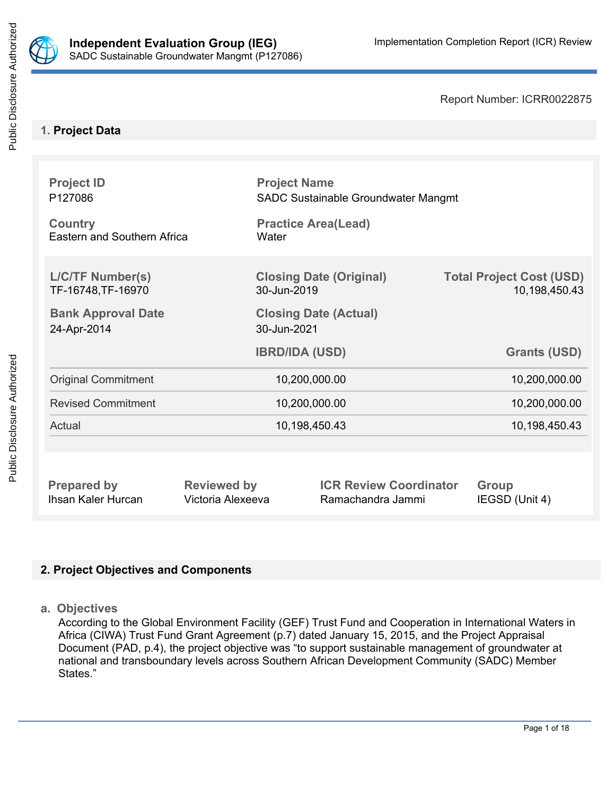

Public Disclosure Authorized

Report Number: ICRR0022875

# **1. Project Data**

| <b>Project ID</b><br>P127086<br><b>Country</b><br>Eastern and Southern Africa | Water                 | <b>Project Name</b><br>SADC Sustainable Groundwater Mangmt<br><b>Practice Area(Lead)</b> |                                                  |  |
|-------------------------------------------------------------------------------|-----------------------|------------------------------------------------------------------------------------------|--------------------------------------------------|--|
| <b>L/C/TF Number(s)</b><br>TF-16748, TF-16970                                 | 30-Jun-2019           | <b>Closing Date (Original)</b>                                                           | <b>Total Project Cost (USD)</b><br>10,198,450.43 |  |
| <b>Bank Approval Date</b><br>24-Apr-2014                                      |                       | <b>Closing Date (Actual)</b><br>30-Jun-2021                                              |                                                  |  |
|                                                                               | <b>IBRD/IDA (USD)</b> |                                                                                          | <b>Grants (USD)</b>                              |  |
| <b>Original Commitment</b>                                                    | 10,200,000.00         |                                                                                          | 10,200,000.00                                    |  |
| <b>Revised Commitment</b>                                                     | 10,200,000.00         |                                                                                          | 10,200,000.00                                    |  |
| Actual                                                                        | 10,198,450.43         |                                                                                          | 10,198,450.43                                    |  |
|                                                                               |                       |                                                                                          |                                                  |  |
| <b>Prepared by</b>                                                            | <b>Reviewed by</b>    | <b>ICR Review Coordinator</b>                                                            | <b>Group</b>                                     |  |

# **2. Project Objectives and Components**

**a. Objectives**

According to the Global Environment Facility (GEF) Trust Fund and Cooperation in International Waters in Africa (CIWA) Trust Fund Grant Agreement (p.7) dated January 15, 2015, and the Project Appraisal Document (PAD, p.4), the project objective was "to support sustainable management of groundwater at national and transboundary levels across Southern African Development Community (SADC) Member States."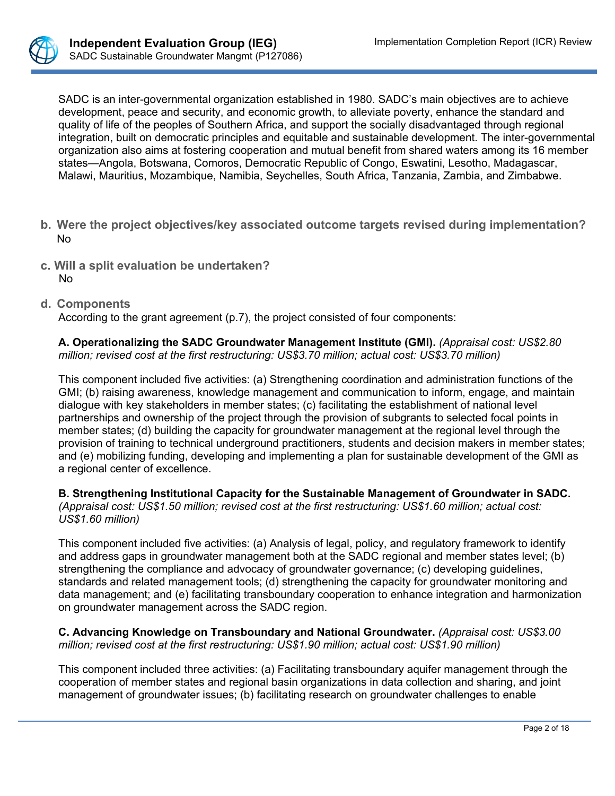

SADC is an inter-governmental organization established in 1980. SADC's main objectives are to achieve development, peace and security, and economic growth, to alleviate poverty, enhance the standard and quality of life of the peoples of Southern Africa, and support the socially disadvantaged through regional integration, built on democratic principles and equitable and sustainable development. The inter-governmental organization also aims at fostering cooperation and mutual benefit from shared waters among its 16 member states—Angola, Botswana, Comoros, Democratic Republic of Congo, Eswatini, Lesotho, Madagascar, Malawi, Mauritius, Mozambique, Namibia, Seychelles, South Africa, Tanzania, Zambia, and Zimbabwe.

- **b. Were the project objectives/key associated outcome targets revised during implementation?** No
- **c. Will a split evaluation be undertaken?** No

#### **d. Components**

According to the grant agreement (p.7), the project consisted of four components:

**A. Operationalizing the SADC Groundwater Management Institute (GMI).** *(Appraisal cost: US\$2.80 million; revised cost at the first restructuring: US\$3.70 million; actual cost: US\$3.70 million)*

This component included five activities: (a) Strengthening coordination and administration functions of the GMI; (b) raising awareness, knowledge management and communication to inform, engage, and maintain dialogue with key stakeholders in member states; (c) facilitating the establishment of national level partnerships and ownership of the project through the provision of subgrants to selected focal points in member states; (d) building the capacity for groundwater management at the regional level through the provision of training to technical underground practitioners, students and decision makers in member states; and (e) mobilizing funding, developing and implementing a plan for sustainable development of the GMI as a regional center of excellence.

**B. Strengthening Institutional Capacity for the Sustainable Management of Groundwater in SADC.**  *(Appraisal cost: US\$1.50 million; revised cost at the first restructuring: US\$1.60 million; actual cost: US\$1.60 million)*

This component included five activities: (a) Analysis of legal, policy, and regulatory framework to identify and address gaps in groundwater management both at the SADC regional and member states level; (b) strengthening the compliance and advocacy of groundwater governance; (c) developing guidelines, standards and related management tools; (d) strengthening the capacity for groundwater monitoring and data management; and (e) facilitating transboundary cooperation to enhance integration and harmonization on groundwater management across the SADC region.

**C. Advancing Knowledge on Transboundary and National Groundwater.** *(Appraisal cost: US\$3.00 million; revised cost at the first restructuring: US\$1.90 million; actual cost: US\$1.90 million)*

This component included three activities: (a) Facilitating transboundary aquifer management through the cooperation of member states and regional basin organizations in data collection and sharing, and joint management of groundwater issues; (b) facilitating research on groundwater challenges to enable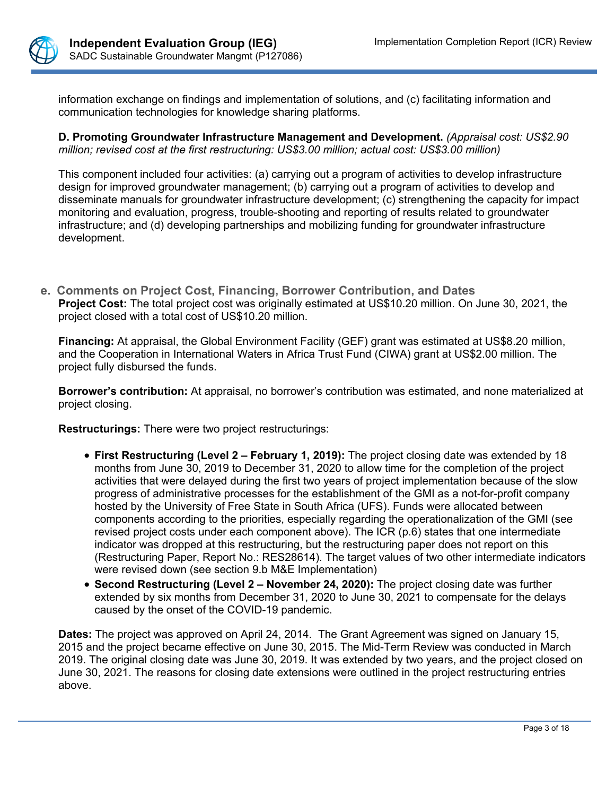

information exchange on findings and implementation of solutions, and (c) facilitating information and communication technologies for knowledge sharing platforms.

**D. Promoting Groundwater Infrastructure Management and Development.** *(Appraisal cost: US\$2.90 million; revised cost at the first restructuring: US\$3.00 million; actual cost: US\$3.00 million)*

This component included four activities: (a) carrying out a program of activities to develop infrastructure design for improved groundwater management; (b) carrying out a program of activities to develop and disseminate manuals for groundwater infrastructure development; (c) strengthening the capacity for impact monitoring and evaluation, progress, trouble-shooting and reporting of results related to groundwater infrastructure; and (d) developing partnerships and mobilizing funding for groundwater infrastructure development.

**e. Comments on Project Cost, Financing, Borrower Contribution, and Dates Project Cost:** The total project cost was originally estimated at US\$10.20 million. On June 30, 2021, the project closed with a total cost of US\$10.20 million.

**Financing:** At appraisal, the Global Environment Facility (GEF) grant was estimated at US\$8.20 million, and the Cooperation in International Waters in Africa Trust Fund (CIWA) grant at US\$2.00 million. The project fully disbursed the funds.

**Borrower's contribution:** At appraisal, no borrower's contribution was estimated, and none materialized at project closing.

**Restructurings:** There were two project restructurings:

- **First Restructuring (Level 2 February 1, 2019):** The project closing date was extended by 18 months from June 30, 2019 to December 31, 2020 to allow time for the completion of the project activities that were delayed during the first two years of project implementation because of the slow progress of administrative processes for the establishment of the GMI as a not-for-profit company hosted by the University of Free State in South Africa (UFS). Funds were allocated between components according to the priorities, especially regarding the operationalization of the GMI (see revised project costs under each component above). The ICR (p.6) states that one intermediate indicator was dropped at this restructuring, but the restructuring paper does not report on this (Restructuring Paper, Report No.: RES28614). The target values of two other intermediate indicators were revised down (see section 9.b M&E Implementation)
- **Second Restructuring (Level 2 November 24, 2020):** The project closing date was further extended by six months from December 31, 2020 to June 30, 2021 to compensate for the delays caused by the onset of the COVID-19 pandemic.

**Dates:** The project was approved on April 24, 2014. The Grant Agreement was signed on January 15, 2015 and the project became effective on June 30, 2015. The Mid-Term Review was conducted in March 2019. The original closing date was June 30, 2019. It was extended by two years, and the project closed on June 30, 2021. The reasons for closing date extensions were outlined in the project restructuring entries above.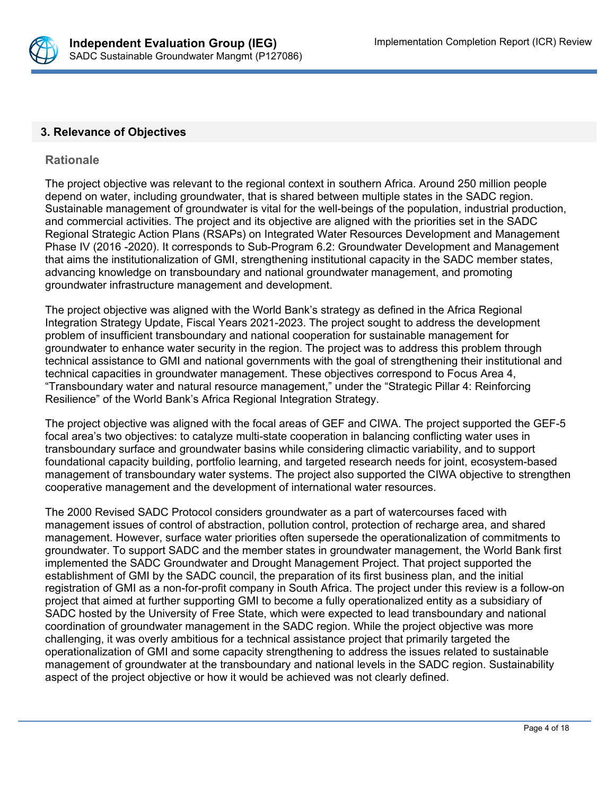

#### **3. Relevance of Objectives**

#### **Rationale**

The project objective was relevant to the regional context in southern Africa. Around 250 million people depend on water, including groundwater, that is shared between multiple states in the SADC region. Sustainable management of groundwater is vital for the well-beings of the population, industrial production, and commercial activities. The project and its objective are aligned with the priorities set in the SADC Regional Strategic Action Plans (RSAPs) on Integrated Water Resources Development and Management Phase IV (2016 -2020). It corresponds to Sub-Program 6.2: Groundwater Development and Management that aims the institutionalization of GMI, strengthening institutional capacity in the SADC member states, advancing knowledge on transboundary and national groundwater management, and promoting groundwater infrastructure management and development.

The project objective was aligned with the World Bank's strategy as defined in the Africa Regional Integration Strategy Update, Fiscal Years 2021-2023. The project sought to address the development problem of insufficient transboundary and national cooperation for sustainable management for groundwater to enhance water security in the region. The project was to address this problem through technical assistance to GMI and national governments with the goal of strengthening their institutional and technical capacities in groundwater management. These objectives correspond to Focus Area 4, "Transboundary water and natural resource management," under the "Strategic Pillar 4: Reinforcing Resilience" of the World Bank's Africa Regional Integration Strategy.

The project objective was aligned with the focal areas of GEF and CIWA. The project supported the GEF-5 focal area's two objectives: to catalyze multi-state cooperation in balancing conflicting water uses in transboundary surface and groundwater basins while considering climactic variability, and to support foundational capacity building, portfolio learning, and targeted research needs for joint, ecosystem-based management of transboundary water systems. The project also supported the CIWA objective to strengthen cooperative management and the development of international water resources.

The 2000 Revised SADC Protocol considers groundwater as a part of watercourses faced with management issues of control of abstraction, pollution control, protection of recharge area, and shared management. However, surface water priorities often supersede the operationalization of commitments to groundwater. To support SADC and the member states in groundwater management, the World Bank first implemented the SADC Groundwater and Drought Management Project. That project supported the establishment of GMI by the SADC council, the preparation of its first business plan, and the initial registration of GMI as a non-for-profit company in South Africa. The project under this review is a follow-on project that aimed at further supporting GMI to become a fully operationalized entity as a subsidiary of SADC hosted by the University of Free State, which were expected to lead transboundary and national coordination of groundwater management in the SADC region. While the project objective was more challenging, it was overly ambitious for a technical assistance project that primarily targeted the operationalization of GMI and some capacity strengthening to address the issues related to sustainable management of groundwater at the transboundary and national levels in the SADC region. Sustainability aspect of the project objective or how it would be achieved was not clearly defined.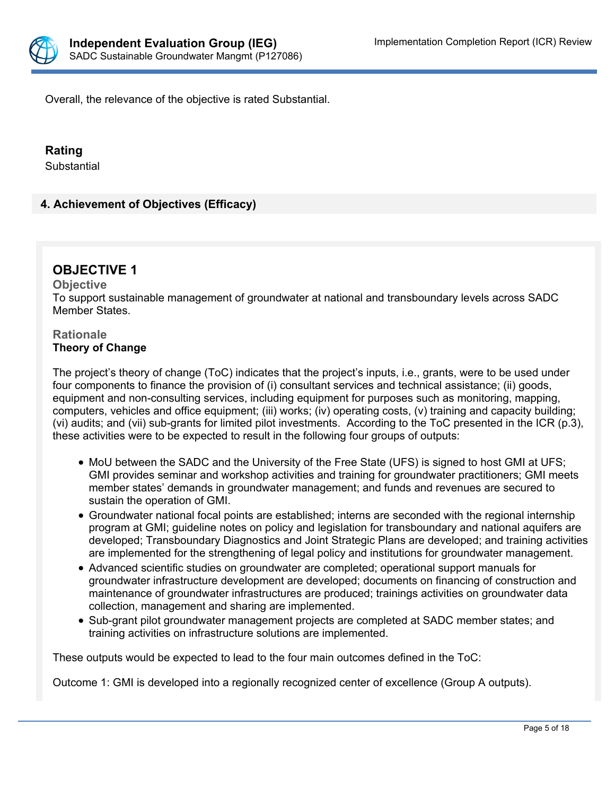

Overall, the relevance of the objective is rated Substantial.

#### **Rating**

**Substantial** 

# **4. Achievement of Objectives (Efficacy)**

# **OBJECTIVE 1**

#### **Objective** To support sustainable management of groundwater at national and transboundary levels across SADC Member States.

#### **Rationale Theory of Change**

The project's theory of change (ToC) indicates that the project's inputs, i.e., grants, were to be used under four components to finance the provision of (i) consultant services and technical assistance; (ii) goods, equipment and non-consulting services, including equipment for purposes such as monitoring, mapping, computers, vehicles and office equipment; (iii) works; (iv) operating costs, (v) training and capacity building; (vi) audits; and (vii) sub-grants for limited pilot investments. According to the ToC presented in the ICR (p.3), these activities were to be expected to result in the following four groups of outputs:

- MoU between the SADC and the University of the Free State (UFS) is signed to host GMI at UFS; GMI provides seminar and workshop activities and training for groundwater practitioners; GMI meets member states' demands in groundwater management; and funds and revenues are secured to sustain the operation of GMI.
- Groundwater national focal points are established; interns are seconded with the regional internship program at GMI; guideline notes on policy and legislation for transboundary and national aquifers are developed; Transboundary Diagnostics and Joint Strategic Plans are developed; and training activities are implemented for the strengthening of legal policy and institutions for groundwater management.
- Advanced scientific studies on groundwater are completed; operational support manuals for groundwater infrastructure development are developed; documents on financing of construction and maintenance of groundwater infrastructures are produced; trainings activities on groundwater data collection, management and sharing are implemented.
- Sub-grant pilot groundwater management projects are completed at SADC member states; and training activities on infrastructure solutions are implemented.

These outputs would be expected to lead to the four main outcomes defined in the ToC:

Outcome 1: GMI is developed into a regionally recognized center of excellence (Group A outputs).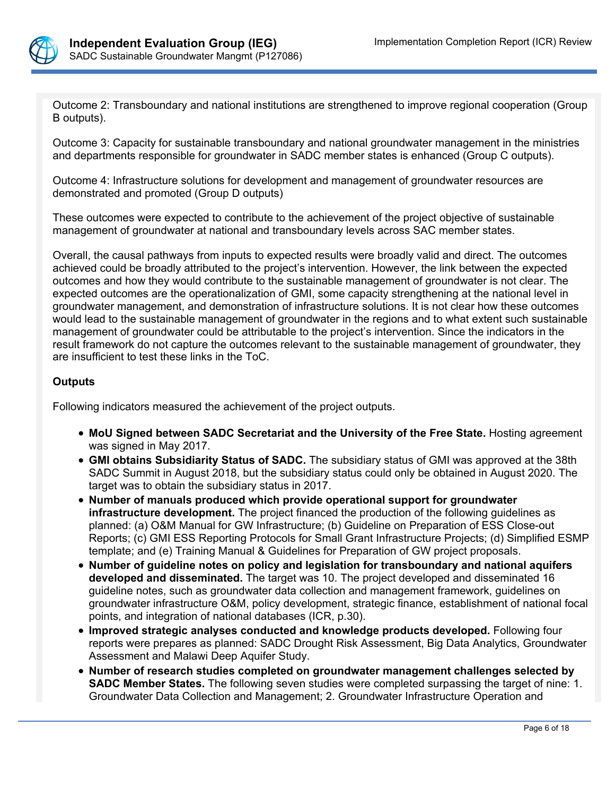

Outcome 2: Transboundary and national institutions are strengthened to improve regional cooperation (Group B outputs).

Outcome 3: Capacity for sustainable transboundary and national groundwater management in the ministries and departments responsible for groundwater in SADC member states is enhanced (Group C outputs).

Outcome 4: Infrastructure solutions for development and management of groundwater resources are demonstrated and promoted (Group D outputs)

These outcomes were expected to contribute to the achievement of the project objective of sustainable management of groundwater at national and transboundary levels across SAC member states.

Overall, the causal pathways from inputs to expected results were broadly valid and direct. The outcomes achieved could be broadly attributed to the project's intervention. However, the link between the expected outcomes and how they would contribute to the sustainable management of groundwater is not clear. The expected outcomes are the operationalization of GMI, some capacity strengthening at the national level in groundwater management, and demonstration of infrastructure solutions. It is not clear how these outcomes would lead to the sustainable management of groundwater in the regions and to what extent such sustainable management of groundwater could be attributable to the project's intervention. Since the indicators in the result framework do not capture the outcomes relevant to the sustainable management of groundwater, they are insufficient to test these links in the ToC.

#### **Outputs**

Following indicators measured the achievement of the project outputs.

- **MoU Signed between SADC Secretariat and the University of the Free State.** Hosting agreement was signed in May 2017.
- **GMI obtains Subsidiarity Status of SADC.** The subsidiary status of GMI was approved at the 38th SADC Summit in August 2018, but the subsidiary status could only be obtained in August 2020. The target was to obtain the subsidiary status in 2017.
- **Number of manuals produced which provide operational support for groundwater infrastructure development.** The project financed the production of the following guidelines as planned: (a) O&M Manual for GW Infrastructure; (b) Guideline on Preparation of ESS Close-out Reports; (c) GMI ESS Reporting Protocols for Small Grant Infrastructure Projects; (d) Simplified ESMP template; and (e) Training Manual & Guidelines for Preparation of GW project proposals.
- **Number of guideline notes on policy and legislation for transboundary and national aquifers developed and disseminated.** The target was 10. The project developed and disseminated 16 guideline notes, such as groundwater data collection and management framework, guidelines on groundwater infrastructure O&M, policy development, strategic finance, establishment of national focal points, and integration of national databases (ICR, p.30).
- **Improved strategic analyses conducted and knowledge products developed.** Following four reports were prepares as planned: SADC Drought Risk Assessment, Big Data Analytics, Groundwater Assessment and Malawi Deep Aquifer Study.
- **Number of research studies completed on groundwater management challenges selected by SADC Member States.** The following seven studies were completed surpassing the target of nine: 1. Groundwater Data Collection and Management; 2. Groundwater Infrastructure Operation and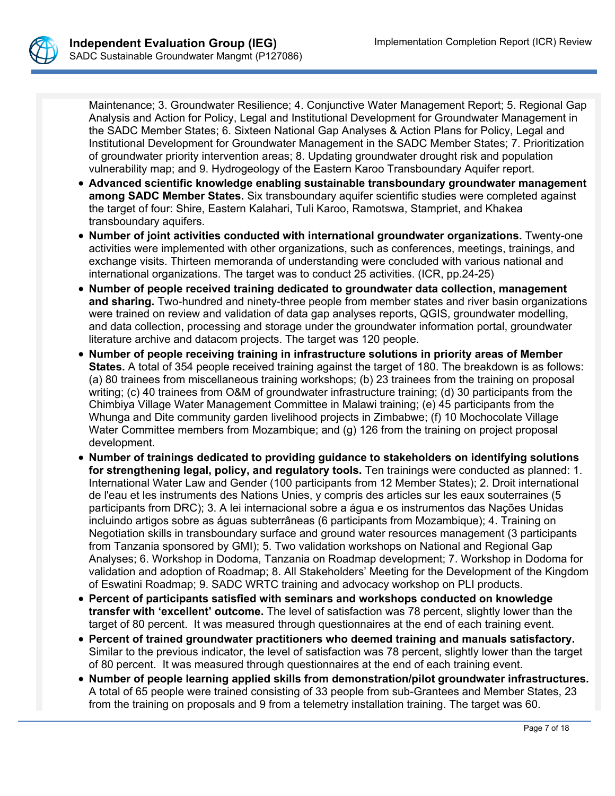

Maintenance; 3. Groundwater Resilience; 4. Conjunctive Water Management Report; 5. Regional Gap Analysis and Action for Policy, Legal and Institutional Development for Groundwater Management in the SADC Member States; 6. Sixteen National Gap Analyses & Action Plans for Policy, Legal and Institutional Development for Groundwater Management in the SADC Member States; 7. Prioritization of groundwater priority intervention areas; 8. Updating groundwater drought risk and population vulnerability map; and 9. Hydrogeology of the Eastern Karoo Transboundary Aquifer report.

- **Advanced scientific knowledge enabling sustainable transboundary groundwater management among SADC Member States.** Six transboundary aquifer scientific studies were completed against the target of four: Shire, Eastern Kalahari, Tuli Karoo, Ramotswa, Stampriet, and Khakea transboundary aquifers.
- **Number of joint activities conducted with international groundwater organizations.** Twenty-one activities were implemented with other organizations, such as conferences, meetings, trainings, and exchange visits. Thirteen memoranda of understanding were concluded with various national and international organizations. The target was to conduct 25 activities. (ICR, pp.24-25)
- **Number of people received training dedicated to groundwater data collection, management and sharing.** Two-hundred and ninety-three people from member states and river basin organizations were trained on review and validation of data gap analyses reports, QGIS, groundwater modelling, and data collection, processing and storage under the groundwater information portal, groundwater literature archive and datacom projects. The target was 120 people.
- **Number of people receiving training in infrastructure solutions in priority areas of Member States.** A total of 354 people received training against the target of 180. The breakdown is as follows: (a) 80 trainees from miscellaneous training workshops; (b) 23 trainees from the training on proposal writing; (c) 40 trainees from O&M of groundwater infrastructure training; (d) 30 participants from the Chimbiya Village Water Management Committee in Malawi training; (e) 45 participants from the Whunga and Dite community garden livelihood projects in Zimbabwe; (f) 10 Mochocolate Village Water Committee members from Mozambique; and (g) 126 from the training on project proposal development.
- **Number of trainings dedicated to providing guidance to stakeholders on identifying solutions for strengthening legal, policy, and regulatory tools.** Ten trainings were conducted as planned: 1. International Water Law and Gender (100 participants from 12 Member States); 2. Droit international de l'eau et les instruments des Nations Unies, y compris des articles sur les eaux souterraines (5 participants from DRC); 3. A lei internacional sobre a água e os instrumentos das Nações Unidas incluindo artigos sobre as águas subterrâneas (6 participants from Mozambique); 4. Training on Negotiation skills in transboundary surface and ground water resources management (3 participants from Tanzania sponsored by GMI); 5. Two validation workshops on National and Regional Gap Analyses; 6. Workshop in Dodoma, Tanzania on Roadmap development; 7. Workshop in Dodoma for validation and adoption of Roadmap; 8. All Stakeholders' Meeting for the Development of the Kingdom of Eswatini Roadmap; 9. SADC WRTC training and advocacy workshop on PLI products.
- **Percent of participants satisfied with seminars and workshops conducted on knowledge transfer with 'excellent' outcome.** The level of satisfaction was 78 percent, slightly lower than the target of 80 percent. It was measured through questionnaires at the end of each training event.
- **Percent of trained groundwater practitioners who deemed training and manuals satisfactory.** Similar to the previous indicator, the level of satisfaction was 78 percent, slightly lower than the target of 80 percent. It was measured through questionnaires at the end of each training event.
- **Number of people learning applied skills from demonstration/pilot groundwater infrastructures.** A total of 65 people were trained consisting of 33 people from sub-Grantees and Member States, 23 from the training on proposals and 9 from a telemetry installation training. The target was 60.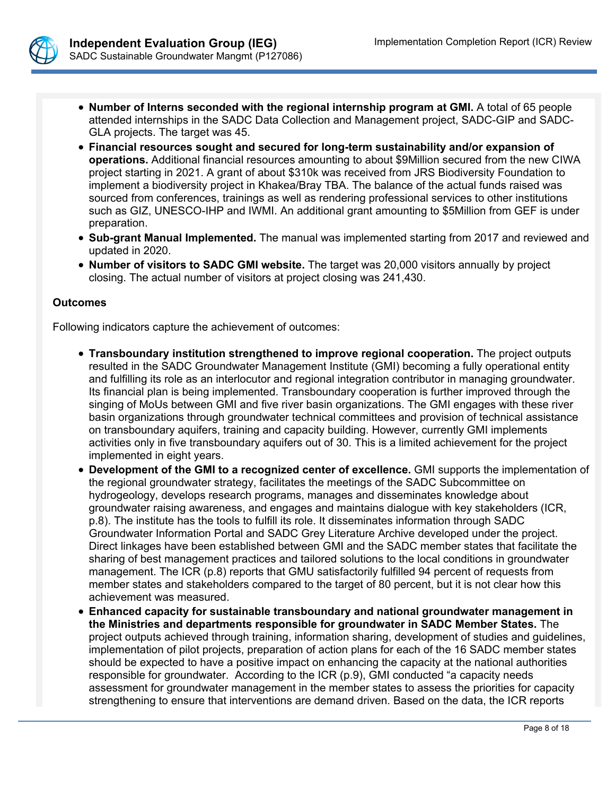

- **Number of Interns seconded with the regional internship program at GMI.** A total of 65 people attended internships in the SADC Data Collection and Management project, SADC-GIP and SADC-GLA projects. The target was 45.
- **Financial resources sought and secured for long-term sustainability and/or expansion of operations.** Additional financial resources amounting to about \$9Million secured from the new CIWA project starting in 2021. A grant of about \$310k was received from JRS Biodiversity Foundation to implement a biodiversity project in Khakea/Bray TBA. The balance of the actual funds raised was sourced from conferences, trainings as well as rendering professional services to other institutions such as GIZ, UNESCO-IHP and IWMI. An additional grant amounting to \$5Million from GEF is under preparation.
- **Sub-grant Manual Implemented.** The manual was implemented starting from 2017 and reviewed and updated in 2020.
- **Number of visitors to SADC GMI website.** The target was 20,000 visitors annually by project closing. The actual number of visitors at project closing was 241,430.

#### **Outcomes**

Following indicators capture the achievement of outcomes:

- **Transboundary institution strengthened to improve regional cooperation.** The project outputs resulted in the SADC Groundwater Management Institute (GMI) becoming a fully operational entity and fulfilling its role as an interlocutor and regional integration contributor in managing groundwater. Its financial plan is being implemented. Transboundary cooperation is further improved through the singing of MoUs between GMI and five river basin organizations. The GMI engages with these river basin organizations through groundwater technical committees and provision of technical assistance on transboundary aquifers, training and capacity building. However, currently GMI implements activities only in five transboundary aquifers out of 30. This is a limited achievement for the project implemented in eight years.
- **Development of the GMI to a recognized center of excellence.** GMI supports the implementation of the regional groundwater strategy, facilitates the meetings of the SADC Subcommittee on hydrogeology, develops research programs, manages and disseminates knowledge about groundwater raising awareness, and engages and maintains dialogue with key stakeholders (ICR, p.8). The institute has the tools to fulfill its role. It disseminates information through SADC Groundwater Information Portal and SADC Grey Literature Archive developed under the project. Direct linkages have been established between GMI and the SADC member states that facilitate the sharing of best management practices and tailored solutions to the local conditions in groundwater management. The ICR (p.8) reports that GMU satisfactorily fulfilled 94 percent of requests from member states and stakeholders compared to the target of 80 percent, but it is not clear how this achievement was measured.
- **Enhanced capacity for sustainable transboundary and national groundwater management in the Ministries and departments responsible for groundwater in SADC Member States.** The project outputs achieved through training, information sharing, development of studies and guidelines, implementation of pilot projects, preparation of action plans for each of the 16 SADC member states should be expected to have a positive impact on enhancing the capacity at the national authorities responsible for groundwater. According to the ICR (p.9), GMI conducted "a capacity needs assessment for groundwater management in the member states to assess the priorities for capacity strengthening to ensure that interventions are demand driven. Based on the data, the ICR reports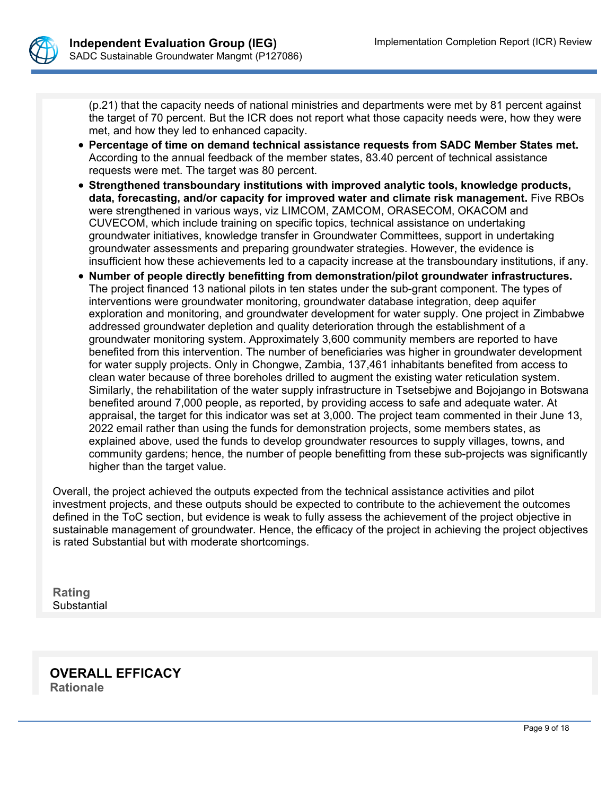

(p.21) that the capacity needs of national ministries and departments were met by 81 percent against the target of 70 percent. But the ICR does not report what those capacity needs were, how they were met, and how they led to enhanced capacity.

- **Percentage of time on demand technical assistance requests from SADC Member States met.**  According to the annual feedback of the member states, 83.40 percent of technical assistance requests were met. The target was 80 percent.
- **Strengthened transboundary institutions with improved analytic tools, knowledge products, data, forecasting, and/or capacity for improved water and climate risk management.** Five RBOs were strengthened in various ways, viz LIMCOM, ZAMCOM, ORASECOM, OKACOM and CUVECOM, which include training on specific topics, technical assistance on undertaking groundwater initiatives, knowledge transfer in Groundwater Committees, support in undertaking groundwater assessments and preparing groundwater strategies. However, the evidence is insufficient how these achievements led to a capacity increase at the transboundary institutions, if any.
- **Number of people directly benefitting from demonstration/pilot groundwater infrastructures.**  The project financed 13 national pilots in ten states under the sub-grant component. The types of interventions were groundwater monitoring, groundwater database integration, deep aquifer exploration and monitoring, and groundwater development for water supply. One project in Zimbabwe addressed groundwater depletion and quality deterioration through the establishment of a groundwater monitoring system. Approximately 3,600 community members are reported to have benefited from this intervention. The number of beneficiaries was higher in groundwater development for water supply projects. Only in Chongwe, Zambia, 137,461 inhabitants benefited from access to clean water because of three boreholes drilled to augment the existing water reticulation system. Similarly, the rehabilitation of the water supply infrastructure in Tsetsebjwe and Bojojango in Botswana benefited around 7,000 people, as reported, by providing access to safe and adequate water. At appraisal, the target for this indicator was set at 3,000. The project team commented in their June 13, 2022 email rather than using the funds for demonstration projects, some members states, as explained above, used the funds to develop groundwater resources to supply villages, towns, and community gardens; hence, the number of people benefitting from these sub-projects was significantly higher than the target value.

Overall, the project achieved the outputs expected from the technical assistance activities and pilot investment projects, and these outputs should be expected to contribute to the achievement the outcomes defined in the ToC section, but evidence is weak to fully assess the achievement of the project objective in sustainable management of groundwater. Hence, the efficacy of the project in achieving the project objectives is rated Substantial but with moderate shortcomings.

**Rating** Substantial

**OVERALL EFFICACY Rationale**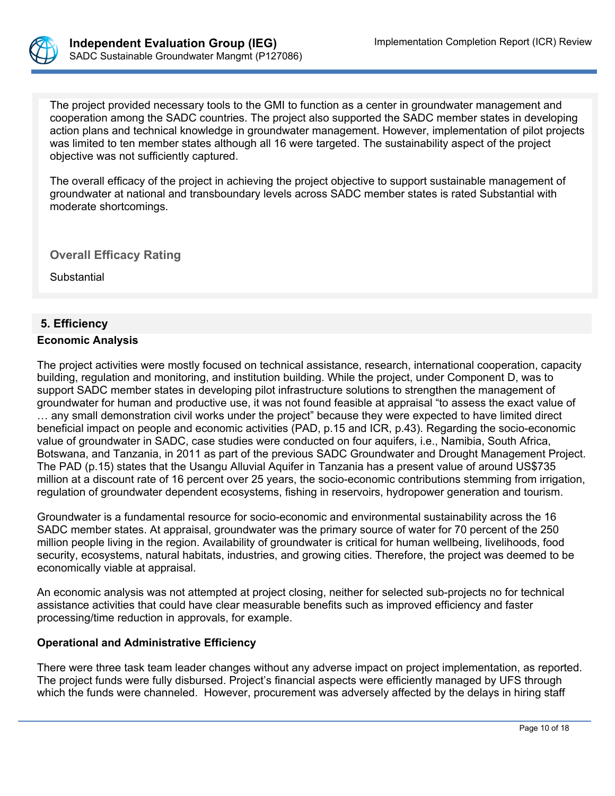

The project provided necessary tools to the GMI to function as a center in groundwater management and cooperation among the SADC countries. The project also supported the SADC member states in developing action plans and technical knowledge in groundwater management. However, implementation of pilot projects was limited to ten member states although all 16 were targeted. The sustainability aspect of the project objective was not sufficiently captured.

The overall efficacy of the project in achieving the project objective to support sustainable management of groundwater at national and transboundary levels across SADC member states is rated Substantial with moderate shortcomings.

**Overall Efficacy Rating**

Substantial

# **5. Efficiency**

# **Economic Analysis**

The project activities were mostly focused on technical assistance, research, international cooperation, capacity building, regulation and monitoring, and institution building. While the project, under Component D, was to support SADC member states in developing pilot infrastructure solutions to strengthen the management of groundwater for human and productive use, it was not found feasible at appraisal "to assess the exact value of … any small demonstration civil works under the project" because they were expected to have limited direct beneficial impact on people and economic activities (PAD, p.15 and ICR, p.43). Regarding the socio-economic value of groundwater in SADC, case studies were conducted on four aquifers, i.e., Namibia, South Africa, Botswana, and Tanzania, in 2011 as part of the previous SADC Groundwater and Drought Management Project. The PAD (p.15) states that the Usangu Alluvial Aquifer in Tanzania has a present value of around US\$735 million at a discount rate of 16 percent over 25 years, the socio-economic contributions stemming from irrigation, regulation of groundwater dependent ecosystems, fishing in reservoirs, hydropower generation and tourism.

Groundwater is a fundamental resource for socio-economic and environmental sustainability across the 16 SADC member states. At appraisal, groundwater was the primary source of water for 70 percent of the 250 million people living in the region. Availability of groundwater is critical for human wellbeing, livelihoods, food security, ecosystems, natural habitats, industries, and growing cities. Therefore, the project was deemed to be economically viable at appraisal.

An economic analysis was not attempted at project closing, neither for selected sub-projects no for technical assistance activities that could have clear measurable benefits such as improved efficiency and faster processing/time reduction in approvals, for example.

#### **Operational and Administrative Efficiency**

There were three task team leader changes without any adverse impact on project implementation, as reported. The project funds were fully disbursed. Project's financial aspects were efficiently managed by UFS through which the funds were channeled. However, procurement was adversely affected by the delays in hiring staff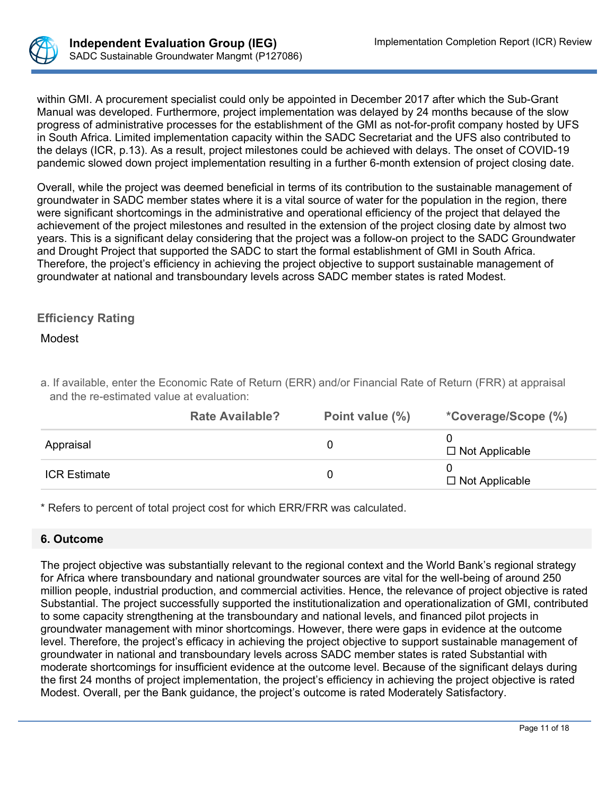

within GMI. A procurement specialist could only be appointed in December 2017 after which the Sub-Grant Manual was developed. Furthermore, project implementation was delayed by 24 months because of the slow progress of administrative processes for the establishment of the GMI as not-for-profit company hosted by UFS in South Africa. Limited implementation capacity within the SADC Secretariat and the UFS also contributed to the delays (ICR, p.13). As a result, project milestones could be achieved with delays. The onset of COVID-19 pandemic slowed down project implementation resulting in a further 6-month extension of project closing date.

Overall, while the project was deemed beneficial in terms of its contribution to the sustainable management of groundwater in SADC member states where it is a vital source of water for the population in the region, there were significant shortcomings in the administrative and operational efficiency of the project that delayed the achievement of the project milestones and resulted in the extension of the project closing date by almost two years. This is a significant delay considering that the project was a follow-on project to the SADC Groundwater and Drought Project that supported the SADC to start the formal establishment of GMI in South Africa. Therefore, the project's efficiency in achieving the project objective to support sustainable management of groundwater at national and transboundary levels across SADC member states is rated Modest.

# **Efficiency Rating**

## Modest

| <b>Rate Available?</b>                                                                                      | Point value (%) | *Coverage/Scope (%) |
|-------------------------------------------------------------------------------------------------------------|-----------------|---------------------|
| and the re-estimated value at evaluation:                                                                   |                 |                     |
| a. If available, enter the Economic Rate of Return (ERR) and/or Financial Rate of Return (FRR) at appraisal |                 |                     |

|                     | <b>Rate Available?</b> | Point value (%) | "Coverage/Scope (%)   |
|---------------------|------------------------|-----------------|-----------------------|
| Appraisal           |                        |                 | $\Box$ Not Applicable |
| <b>ICR Estimate</b> |                        |                 | $\Box$ Not Applicable |

\* Refers to percent of total project cost for which ERR/FRR was calculated.

# **6. Outcome**

The project objective was substantially relevant to the regional context and the World Bank's regional strategy for Africa where transboundary and national groundwater sources are vital for the well-being of around 250 million people, industrial production, and commercial activities. Hence, the relevance of project objective is rated Substantial. The project successfully supported the institutionalization and operationalization of GMI, contributed to some capacity strengthening at the transboundary and national levels, and financed pilot projects in groundwater management with minor shortcomings. However, there were gaps in evidence at the outcome level. Therefore, the project's efficacy in achieving the project objective to support sustainable management of groundwater in national and transboundary levels across SADC member states is rated Substantial with moderate shortcomings for insufficient evidence at the outcome level. Because of the significant delays during the first 24 months of project implementation, the project's efficiency in achieving the project objective is rated Modest. Overall, per the Bank guidance, the project's outcome is rated Moderately Satisfactory.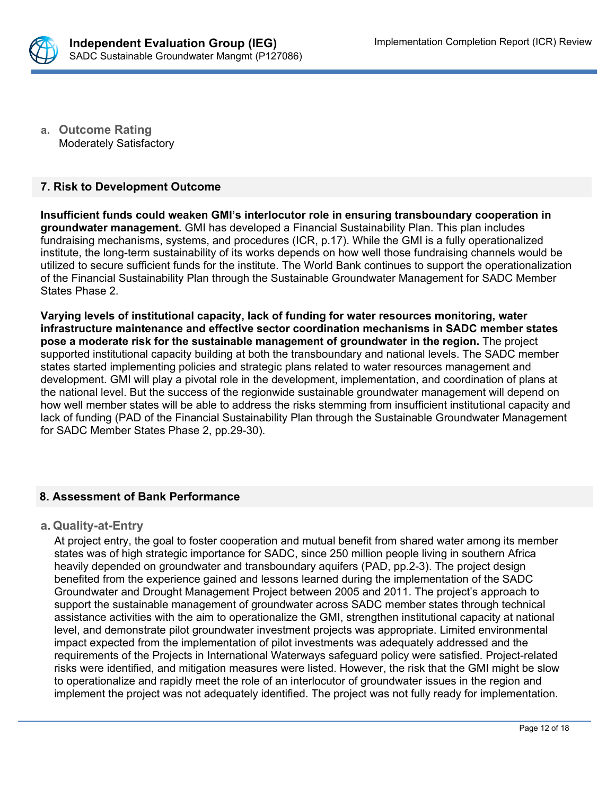

**a. Outcome Rating** Moderately Satisfactory

#### **7. Risk to Development Outcome**

**Insufficient funds could weaken GMI's interlocutor role in ensuring transboundary cooperation in groundwater management.** GMI has developed a Financial Sustainability Plan. This plan includes fundraising mechanisms, systems, and procedures (ICR, p.17). While the GMI is a fully operationalized institute, the long-term sustainability of its works depends on how well those fundraising channels would be utilized to secure sufficient funds for the institute. The World Bank continues to support the operationalization of the Financial Sustainability Plan through the Sustainable Groundwater Management for SADC Member States Phase 2.

**Varying levels of institutional capacity, lack of funding for water resources monitoring, water infrastructure maintenance and effective sector coordination mechanisms in SADC member states pose a moderate risk for the sustainable management of groundwater in the region.** The project supported institutional capacity building at both the transboundary and national levels. The SADC member states started implementing policies and strategic plans related to water resources management and development. GMI will play a pivotal role in the development, implementation, and coordination of plans at the national level. But the success of the regionwide sustainable groundwater management will depend on how well member states will be able to address the risks stemming from insufficient institutional capacity and lack of funding (PAD of the Financial Sustainability Plan through the Sustainable Groundwater Management for SADC Member States Phase 2, pp.29-30).

#### **8. Assessment of Bank Performance**

#### **a. Quality-at-Entry**

At project entry, the goal to foster cooperation and mutual benefit from shared water among its member states was of high strategic importance for SADC, since 250 million people living in southern Africa heavily depended on groundwater and transboundary aquifers (PAD, pp.2-3). The project design benefited from the experience gained and lessons learned during the implementation of the SADC Groundwater and Drought Management Project between 2005 and 2011. The project's approach to support the sustainable management of groundwater across SADC member states through technical assistance activities with the aim to operationalize the GMI, strengthen institutional capacity at national level, and demonstrate pilot groundwater investment projects was appropriate. Limited environmental impact expected from the implementation of pilot investments was adequately addressed and the requirements of the Projects in International Waterways safeguard policy were satisfied. Project-related risks were identified, and mitigation measures were listed. However, the risk that the GMI might be slow to operationalize and rapidly meet the role of an interlocutor of groundwater issues in the region and implement the project was not adequately identified. The project was not fully ready for implementation.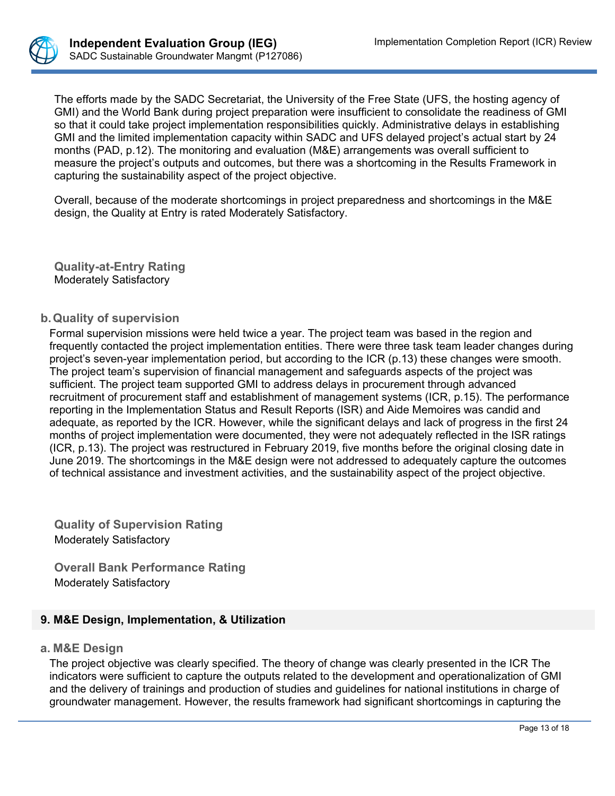

The efforts made by the SADC Secretariat, the University of the Free State (UFS, the hosting agency of GMI) and the World Bank during project preparation were insufficient to consolidate the readiness of GMI so that it could take project implementation responsibilities quickly. Administrative delays in establishing GMI and the limited implementation capacity within SADC and UFS delayed project's actual start by 24 months (PAD, p.12). The monitoring and evaluation (M&E) arrangements was overall sufficient to measure the project's outputs and outcomes, but there was a shortcoming in the Results Framework in capturing the sustainability aspect of the project objective.

Overall, because of the moderate shortcomings in project preparedness and shortcomings in the M&E design, the Quality at Entry is rated Moderately Satisfactory.

**Quality-at-Entry Rating** Moderately Satisfactory

## **b.Quality of supervision**

Formal supervision missions were held twice a year. The project team was based in the region and frequently contacted the project implementation entities. There were three task team leader changes during project's seven-year implementation period, but according to the ICR (p.13) these changes were smooth. The project team's supervision of financial management and safeguards aspects of the project was sufficient. The project team supported GMI to address delays in procurement through advanced recruitment of procurement staff and establishment of management systems (ICR, p.15). The performance reporting in the Implementation Status and Result Reports (ISR) and Aide Memoires was candid and adequate, as reported by the ICR. However, while the significant delays and lack of progress in the first 24 months of project implementation were documented, they were not adequately reflected in the ISR ratings (ICR, p.13). The project was restructured in February 2019, five months before the original closing date in June 2019. The shortcomings in the M&E design were not addressed to adequately capture the outcomes of technical assistance and investment activities, and the sustainability aspect of the project objective.

**Quality of Supervision Rating**  Moderately Satisfactory

**Overall Bank Performance Rating** Moderately Satisfactory

# **9. M&E Design, Implementation, & Utilization**

#### **a. M&E Design**

The project objective was clearly specified. The theory of change was clearly presented in the ICR The indicators were sufficient to capture the outputs related to the development and operationalization of GMI and the delivery of trainings and production of studies and guidelines for national institutions in charge of groundwater management. However, the results framework had significant shortcomings in capturing the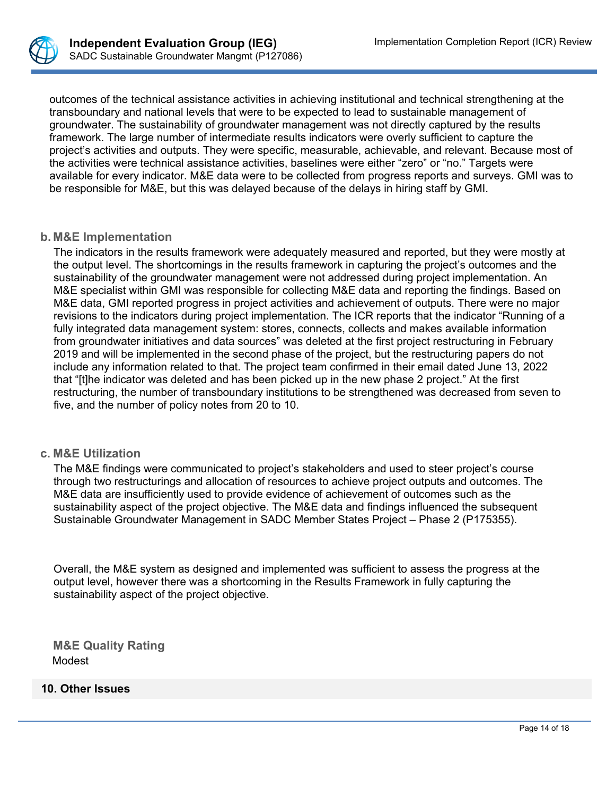

outcomes of the technical assistance activities in achieving institutional and technical strengthening at the transboundary and national levels that were to be expected to lead to sustainable management of groundwater. The sustainability of groundwater management was not directly captured by the results framework. The large number of intermediate results indicators were overly sufficient to capture the project's activities and outputs. They were specific, measurable, achievable, and relevant. Because most of the activities were technical assistance activities, baselines were either "zero" or "no." Targets were available for every indicator. M&E data were to be collected from progress reports and surveys. GMI was to be responsible for M&E, but this was delayed because of the delays in hiring staff by GMI.

#### **b. M&E Implementation**

The indicators in the results framework were adequately measured and reported, but they were mostly at the output level. The shortcomings in the results framework in capturing the project's outcomes and the sustainability of the groundwater management were not addressed during project implementation. An M&E specialist within GMI was responsible for collecting M&E data and reporting the findings. Based on M&E data, GMI reported progress in project activities and achievement of outputs. There were no major revisions to the indicators during project implementation. The ICR reports that the indicator "Running of a fully integrated data management system: stores, connects, collects and makes available information from groundwater initiatives and data sources" was deleted at the first project restructuring in February 2019 and will be implemented in the second phase of the project, but the restructuring papers do not include any information related to that. The project team confirmed in their email dated June 13, 2022 that "[t]he indicator was deleted and has been picked up in the new phase 2 project." At the first restructuring, the number of transboundary institutions to be strengthened was decreased from seven to five, and the number of policy notes from 20 to 10.

#### **c. M&E Utilization**

The M&E findings were communicated to project's stakeholders and used to steer project's course through two restructurings and allocation of resources to achieve project outputs and outcomes. The M&E data are insufficiently used to provide evidence of achievement of outcomes such as the sustainability aspect of the project objective. The M&E data and findings influenced the subsequent Sustainable Groundwater Management in SADC Member States Project – Phase 2 (P175355).

Overall, the M&E system as designed and implemented was sufficient to assess the progress at the output level, however there was a shortcoming in the Results Framework in fully capturing the sustainability aspect of the project objective.

**M&E Quality Rating** Modest

#### **10. Other Issues**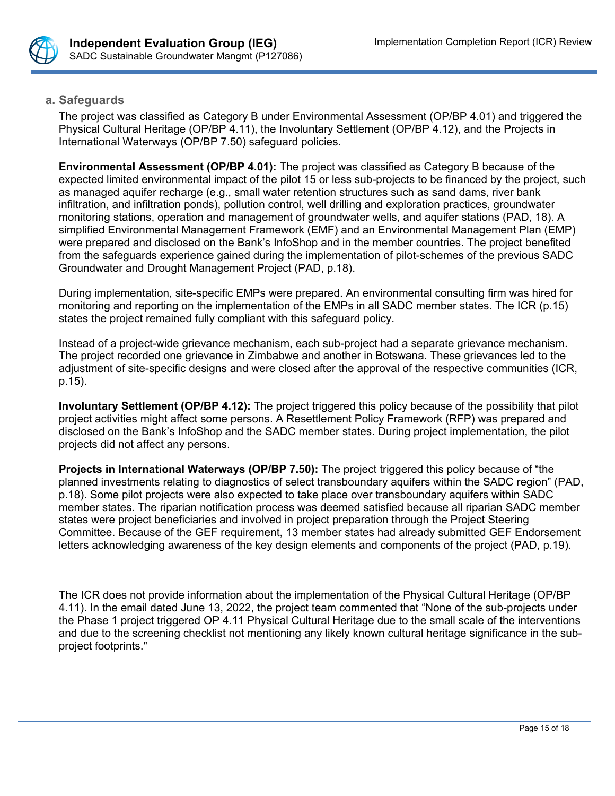

## **a. Safeguards**

The project was classified as Category B under Environmental Assessment (OP/BP 4.01) and triggered the Physical Cultural Heritage (OP/BP 4.11), the Involuntary Settlement (OP/BP 4.12), and the Projects in International Waterways (OP/BP 7.50) safeguard policies.

**Environmental Assessment (OP/BP 4.01):** The project was classified as Category B because of the expected limited environmental impact of the pilot 15 or less sub-projects to be financed by the project, such as managed aquifer recharge (e.g., small water retention structures such as sand dams, river bank infiltration, and infiltration ponds), pollution control, well drilling and exploration practices, groundwater monitoring stations, operation and management of groundwater wells, and aquifer stations (PAD, 18). A simplified Environmental Management Framework (EMF) and an Environmental Management Plan (EMP) were prepared and disclosed on the Bank's InfoShop and in the member countries. The project benefited from the safeguards experience gained during the implementation of pilot-schemes of the previous SADC Groundwater and Drought Management Project (PAD, p.18).

During implementation, site-specific EMPs were prepared. An environmental consulting firm was hired for monitoring and reporting on the implementation of the EMPs in all SADC member states. The ICR (p.15) states the project remained fully compliant with this safeguard policy.

Instead of a project-wide grievance mechanism, each sub-project had a separate grievance mechanism. The project recorded one grievance in Zimbabwe and another in Botswana. These grievances led to the adjustment of site-specific designs and were closed after the approval of the respective communities (ICR, p.15).

**Involuntary Settlement (OP/BP 4.12):** The project triggered this policy because of the possibility that pilot project activities might affect some persons. A Resettlement Policy Framework (RFP) was prepared and disclosed on the Bank's InfoShop and the SADC member states. During project implementation, the pilot projects did not affect any persons.

**Projects in International Waterways (OP/BP 7.50):** The project triggered this policy because of "the planned investments relating to diagnostics of select transboundary aquifers within the SADC region" (PAD, p.18). Some pilot projects were also expected to take place over transboundary aquifers within SADC member states. The riparian notification process was deemed satisfied because all riparian SADC member states were project beneficiaries and involved in project preparation through the Project Steering Committee. Because of the GEF requirement, 13 member states had already submitted GEF Endorsement letters acknowledging awareness of the key design elements and components of the project (PAD, p.19).

The ICR does not provide information about the implementation of the Physical Cultural Heritage (OP/BP 4.11). In the email dated June 13, 2022, the project team commented that "None of the sub-projects under the Phase 1 project triggered OP 4.11 Physical Cultural Heritage due to the small scale of the interventions and due to the screening checklist not mentioning any likely known cultural heritage significance in the subproject footprints."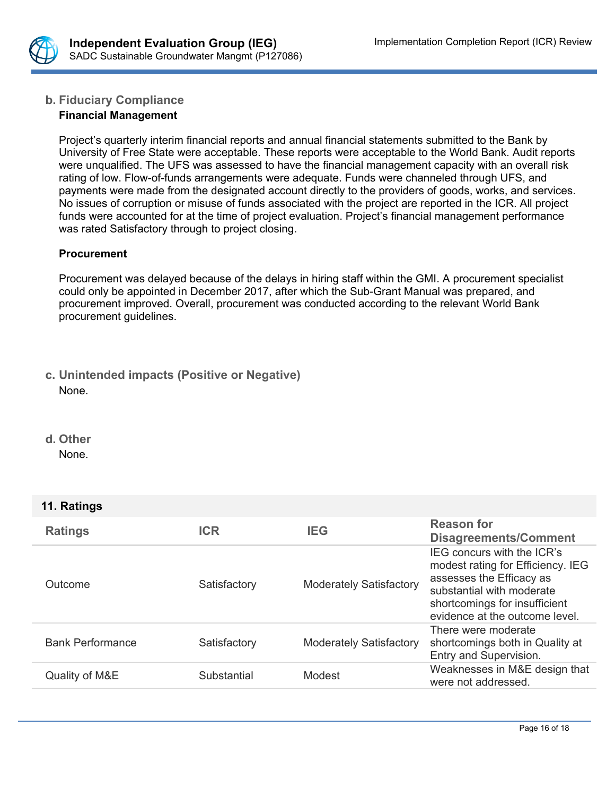

# **b. Fiduciary Compliance**

## **Financial Management**

Project's quarterly interim financial reports and annual financial statements submitted to the Bank by University of Free State were acceptable. These reports were acceptable to the World Bank. Audit reports were unqualified. The UFS was assessed to have the financial management capacity with an overall risk rating of low. Flow-of-funds arrangements were adequate. Funds were channeled through UFS, and payments were made from the designated account directly to the providers of goods, works, and services. No issues of corruption or misuse of funds associated with the project are reported in the ICR. All project funds were accounted for at the time of project evaluation. Project's financial management performance was rated Satisfactory through to project closing.

#### **Procurement**

Procurement was delayed because of the delays in hiring staff within the GMI. A procurement specialist could only be appointed in December 2017, after which the Sub-Grant Manual was prepared, and procurement improved. Overall, procurement was conducted according to the relevant World Bank procurement guidelines.

# **c. Unintended impacts (Positive or Negative)** None.

**d. Other**

None.

# **11. Ratings**

| <b>Ratings</b>          | <b>ICR</b>   | <b>IEG</b>                     | <b>Reason for</b><br><b>Disagreements/Comment</b>                                                                                                                                           |
|-------------------------|--------------|--------------------------------|---------------------------------------------------------------------------------------------------------------------------------------------------------------------------------------------|
| Outcome                 | Satisfactory | <b>Moderately Satisfactory</b> | IEG concurs with the ICR's<br>modest rating for Efficiency. IEG<br>assesses the Efficacy as<br>substantial with moderate<br>shortcomings for insufficient<br>evidence at the outcome level. |
| <b>Bank Performance</b> | Satisfactory | <b>Moderately Satisfactory</b> | There were moderate<br>shortcomings both in Quality at<br>Entry and Supervision.                                                                                                            |
| Quality of M&E          | Substantial  | Modest                         | Weaknesses in M&E design that<br>were not addressed.                                                                                                                                        |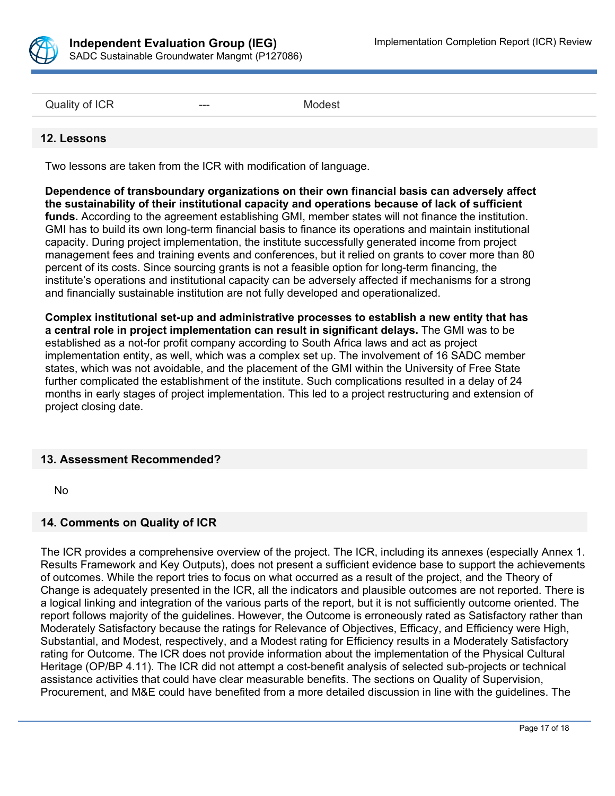

Quality of ICR **---** All and Development and Development and Modest

#### **12. Lessons**

Two lessons are taken from the ICR with modification of language.

**Dependence of transboundary organizations on their own financial basis can adversely affect the sustainability of their institutional capacity and operations because of lack of sufficient funds.** According to the agreement establishing GMI, member states will not finance the institution. GMI has to build its own long-term financial basis to finance its operations and maintain institutional capacity. During project implementation, the institute successfully generated income from project management fees and training events and conferences, but it relied on grants to cover more than 80 percent of its costs. Since sourcing grants is not a feasible option for long-term financing, the institute's operations and institutional capacity can be adversely affected if mechanisms for a strong and financially sustainable institution are not fully developed and operationalized.

**Complex institutional set-up and administrative processes to establish a new entity that has a central role in project implementation can result in significant delays.** The GMI was to be established as a not-for profit company according to South Africa laws and act as project implementation entity, as well, which was a complex set up. The involvement of 16 SADC member states, which was not avoidable, and the placement of the GMI within the University of Free State further complicated the establishment of the institute. Such complications resulted in a delay of 24 months in early stages of project implementation. This led to a project restructuring and extension of project closing date.

#### **13. Assessment Recommended?**

No

#### **14. Comments on Quality of ICR**

The ICR provides a comprehensive overview of the project. The ICR, including its annexes (especially Annex 1. Results Framework and Key Outputs), does not present a sufficient evidence base to support the achievements of outcomes. While the report tries to focus on what occurred as a result of the project, and the Theory of Change is adequately presented in the ICR, all the indicators and plausible outcomes are not reported. There is a logical linking and integration of the various parts of the report, but it is not sufficiently outcome oriented. The report follows majority of the guidelines. However, the Outcome is erroneously rated as Satisfactory rather than Moderately Satisfactory because the ratings for Relevance of Objectives, Efficacy, and Efficiency were High, Substantial, and Modest, respectively, and a Modest rating for Efficiency results in a Moderately Satisfactory rating for Outcome. The ICR does not provide information about the implementation of the Physical Cultural Heritage (OP/BP 4.11). The ICR did not attempt a cost-benefit analysis of selected sub-projects or technical assistance activities that could have clear measurable benefits. The sections on Quality of Supervision, Procurement, and M&E could have benefited from a more detailed discussion in line with the guidelines. The